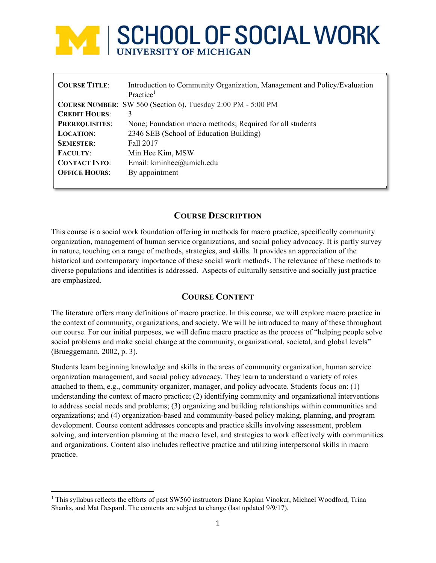# **MEL SCHOOL OF SOCIAL WORK**

| <b>COURSE TITLE:</b>  | Introduction to Community Organization, Management and Policy/Evaluation<br>Practice <sup>1</sup> |
|-----------------------|---------------------------------------------------------------------------------------------------|
|                       | <b>COURSE NUMBER:</b> SW 560 (Section 6), Tuesday 2:00 PM - 5:00 PM                               |
| <b>CREDIT HOURS:</b>  | 3                                                                                                 |
| <b>PREREQUISITES:</b> | None; Foundation macro methods; Required for all students                                         |
| <b>LOCATION:</b>      | 2346 SEB (School of Education Building)                                                           |
| <b>SEMESTER:</b>      | Fall 2017                                                                                         |
| <b>FACULTY:</b>       | Min Hee Kim, MSW                                                                                  |
| <b>CONTACT INFO:</b>  | Email: kminhee@umich.edu                                                                          |
| <b>OFFICE HOURS:</b>  | By appointment                                                                                    |
|                       |                                                                                                   |

# **COURSE DESCRIPTION**

This course is a social work foundation offering in methods for macro practice, specifically community organization, management of human service organizations, and social policy advocacy. It is partly survey in nature, touching on a range of methods, strategies, and skills. It provides an appreciation of the historical and contemporary importance of these social work methods. The relevance of these methods to diverse populations and identities is addressed. Aspects of culturally sensitive and socially just practice are emphasized.

# **COURSE CONTENT**

The literature offers many definitions of macro practice. In this course, we will explore macro practice in the context of community, organizations, and society. We will be introduced to many of these throughout our course. For our initial purposes, we will define macro practice as the process of "helping people solve social problems and make social change at the community, organizational, societal, and global levels" (Brueggemann, 2002, p. 3).

Students learn beginning knowledge and skills in the areas of community organization, human service organization management, and social policy advocacy. They learn to understand a variety of roles attached to them, e.g., community organizer, manager, and policy advocate. Students focus on: (1) understanding the context of macro practice; (2) identifying community and organizational interventions to address social needs and problems; (3) organizing and building relationships within communities and organizations; and (4) organization-based and community-based policy making, planning, and program development. Course content addresses concepts and practice skills involving assessment, problem solving, and intervention planning at the macro level, and strategies to work effectively with communities and organizations. Content also includes reflective practice and utilizing interpersonal skills in macro practice.

<sup>&</sup>lt;sup>1</sup> This syllabus reflects the efforts of past SW560 instructors Diane Kaplan Vinokur, Michael Woodford, Trina Shanks, and Mat Despard. The contents are subject to change (last updated 9/9/17).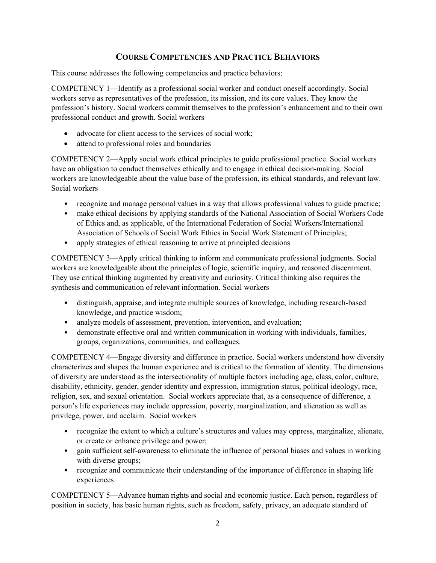# **COURSE COMPETENCIES AND PRACTICE BEHAVIORS**

This course addresses the following competencies and practice behaviors:

COMPETENCY 1—Identify as a professional social worker and conduct oneself accordingly. Social workers serve as representatives of the profession, its mission, and its core values. They know the profession's history. Social workers commit themselves to the profession's enhancement and to their own professional conduct and growth. Social workers

- advocate for client access to the services of social work;
- attend to professional roles and boundaries

COMPETENCY 2—Apply social work ethical principles to guide professional practice. Social workers have an obligation to conduct themselves ethically and to engage in ethical decision-making. Social workers are knowledgeable about the value base of the profession, its ethical standards, and relevant law. Social workers

- recognize and manage personal values in a way that allows professional values to guide practice;
- make ethical decisions by applying standards of the National Association of Social Workers Code of Ethics and, as applicable, of the International Federation of Social Workers/International Association of Schools of Social Work Ethics in Social Work Statement of Principles;
- apply strategies of ethical reasoning to arrive at principled decisions

COMPETENCY 3—Apply critical thinking to inform and communicate professional judgments. Social workers are knowledgeable about the principles of logic, scientific inquiry, and reasoned discernment. They use critical thinking augmented by creativity and curiosity. Critical thinking also requires the synthesis and communication of relevant information. Social workers

- distinguish, appraise, and integrate multiple sources of knowledge, including research-based knowledge, and practice wisdom;
- analyze models of assessment, prevention, intervention, and evaluation;
- demonstrate effective oral and written communication in working with individuals, families, groups, organizations, communities, and colleagues.

COMPETENCY 4—Engage diversity and difference in practice. Social workers understand how diversity characterizes and shapes the human experience and is critical to the formation of identity. The dimensions of diversity are understood as the intersectionality of multiple factors including age, class, color, culture, disability, ethnicity, gender, gender identity and expression, immigration status, political ideology, race, religion, sex, and sexual orientation. Social workers appreciate that, as a consequence of difference, a person's life experiences may include oppression, poverty, marginalization, and alienation as well as privilege, power, and acclaim. Social workers

- recognize the extent to which a culture's structures and values may oppress, marginalize, alienate, or create or enhance privilege and power;
- gain sufficient self-awareness to eliminate the influence of personal biases and values in working with diverse groups;
- recognize and communicate their understanding of the importance of difference in shaping life experiences

COMPETENCY 5—Advance human rights and social and economic justice. Each person, regardless of position in society, has basic human rights, such as freedom, safety, privacy, an adequate standard of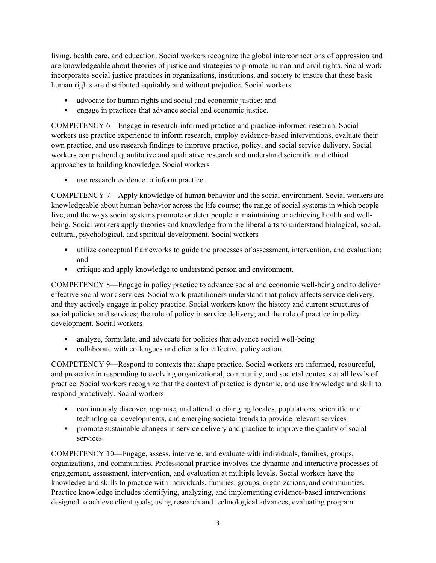living, health care, and education. Social workers recognize the global interconnections of oppression and are knowledgeable about theories of justice and strategies to promote human and civil rights. Social work incorporates social justice practices in organizations, institutions, and society to ensure that these basic human rights are distributed equitably and without prejudice. Social workers

- advocate for human rights and social and economic justice; and
- engage in practices that advance social and economic justice.

COMPETENCY 6—Engage in research-informed practice and practice-informed research. Social workers use practice experience to inform research, employ evidence-based interventions, evaluate their own practice, and use research findings to improve practice, policy, and social service delivery. Social workers comprehend quantitative and qualitative research and understand scientific and ethical approaches to building knowledge. Social workers

use research evidence to inform practice.

COMPETENCY 7—Apply knowledge of human behavior and the social environment. Social workers are knowledgeable about human behavior across the life course; the range of social systems in which people live; and the ways social systems promote or deter people in maintaining or achieving health and wellbeing. Social workers apply theories and knowledge from the liberal arts to understand biological, social, cultural, psychological, and spiritual development. Social workers

- utilize conceptual frameworks to guide the processes of assessment, intervention, and evaluation; and
- critique and apply knowledge to understand person and environment.

COMPETENCY 8—Engage in policy practice to advance social and economic well-being and to deliver effective social work services. Social work practitioners understand that policy affects service delivery, and they actively engage in policy practice. Social workers know the history and current structures of social policies and services; the role of policy in service delivery; and the role of practice in policy development. Social workers

- analyze, formulate, and advocate for policies that advance social well-being
- collaborate with colleagues and clients for effective policy action.

COMPETENCY 9—Respond to contexts that shape practice. Social workers are informed, resourceful, and proactive in responding to evolving organizational, community, and societal contexts at all levels of practice. Social workers recognize that the context of practice is dynamic, and use knowledge and skill to respond proactively. Social workers

- continuously discover, appraise, and attend to changing locales, populations, scientific and technological developments, and emerging societal trends to provide relevant services
- promote sustainable changes in service delivery and practice to improve the quality of social services.

COMPETENCY 10—Engage, assess, intervene, and evaluate with individuals, families, groups, organizations, and communities. Professional practice involves the dynamic and interactive processes of engagement, assessment, intervention, and evaluation at multiple levels. Social workers have the knowledge and skills to practice with individuals, families, groups, organizations, and communities. Practice knowledge includes identifying, analyzing, and implementing evidence-based interventions designed to achieve client goals; using research and technological advances; evaluating program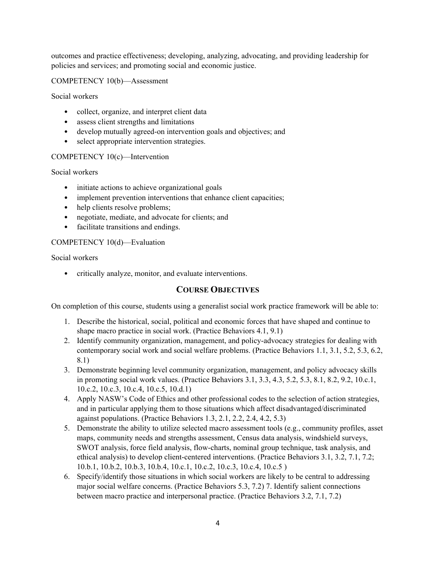outcomes and practice effectiveness; developing, analyzing, advocating, and providing leadership for policies and services; and promoting social and economic justice.

COMPETENCY 10(b)—Assessment

Social workers

- collect, organize, and interpret client data
- assess client strengths and limitations
- develop mutually agreed-on intervention goals and objectives; and
- select appropriate intervention strategies.

#### COMPETENCY 10(c)—Intervention

Social workers

- initiate actions to achieve organizational goals
- implement prevention interventions that enhance client capacities;
- help clients resolve problems;
- negotiate, mediate, and advocate for clients; and
- facilitate transitions and endings.

#### COMPETENCY 10(d)—Evaluation

Social workers

• critically analyze, monitor, and evaluate interventions.

# **COURSE OBJECTIVES**

On completion of this course, students using a generalist social work practice framework will be able to:

- 1. Describe the historical, social, political and economic forces that have shaped and continue to shape macro practice in social work. (Practice Behaviors 4.1, 9.1)
- 2. Identify community organization, management, and policy-advocacy strategies for dealing with contemporary social work and social welfare problems. (Practice Behaviors 1.1, 3.1, 5.2, 5.3, 6.2, 8.1)
- 3. Demonstrate beginning level community organization, management, and policy advocacy skills in promoting social work values. (Practice Behaviors 3.1, 3.3, 4.3, 5.2, 5.3, 8.1, 8.2, 9.2, 10.c.1, 10.c.2, 10.c.3, 10.c.4, 10.c.5, 10.d.1)
- 4. Apply NASW's Code of Ethics and other professional codes to the selection of action strategies, and in particular applying them to those situations which affect disadvantaged/discriminated against populations. (Practice Behaviors 1.3, 2.1, 2.2, 2.4, 4.2, 5.3)
- 5. Demonstrate the ability to utilize selected macro assessment tools (e.g., community profiles, asset maps, community needs and strengths assessment, Census data analysis, windshield surveys, SWOT analysis, force field analysis, flow-charts, nominal group technique, task analysis, and ethical analysis) to develop client-centered interventions. (Practice Behaviors 3.1, 3.2, 7.1, 7.2; 10.b.1, 10.b.2, 10.b.3, 10.b.4, 10.c.1, 10.c.2, 10.c.3, 10.c.4, 10.c.5 )
- 6. Specify/identify those situations in which social workers are likely to be central to addressing major social welfare concerns. (Practice Behaviors 5.3, 7.2) 7. Identify salient connections between macro practice and interpersonal practice. (Practice Behaviors 3.2, 7.1, 7.2)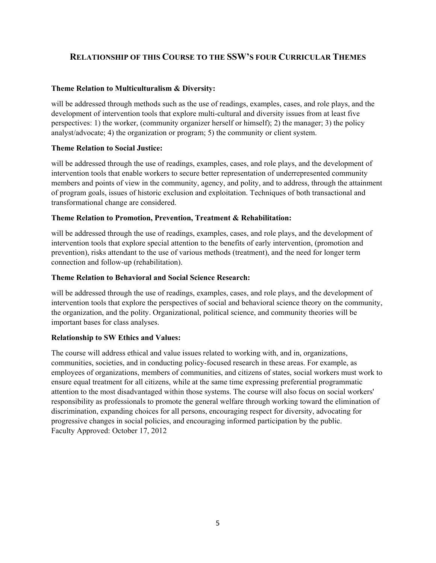# **RELATIONSHIP OF THIS COURSE TO THE SSW'S FOUR CURRICULAR THEMES**

## **Theme Relation to Multiculturalism & Diversity:**

will be addressed through methods such as the use of readings, examples, cases, and role plays, and the development of intervention tools that explore multi-cultural and diversity issues from at least five perspectives: 1) the worker, (community organizer herself or himself); 2) the manager; 3) the policy analyst/advocate; 4) the organization or program; 5) the community or client system.

#### **Theme Relation to Social Justice:**

will be addressed through the use of readings, examples, cases, and role plays, and the development of intervention tools that enable workers to secure better representation of underrepresented community members and points of view in the community, agency, and polity, and to address, through the attainment of program goals, issues of historic exclusion and exploitation. Techniques of both transactional and transformational change are considered.

#### **Theme Relation to Promotion, Prevention, Treatment & Rehabilitation:**

will be addressed through the use of readings, examples, cases, and role plays, and the development of intervention tools that explore special attention to the benefits of early intervention, (promotion and prevention), risks attendant to the use of various methods (treatment), and the need for longer term connection and follow-up (rehabilitation).

#### **Theme Relation to Behavioral and Social Science Research:**

will be addressed through the use of readings, examples, cases, and role plays, and the development of intervention tools that explore the perspectives of social and behavioral science theory on the community, the organization, and the polity. Organizational, political science, and community theories will be important bases for class analyses.

#### **Relationship to SW Ethics and Values:**

The course will address ethical and value issues related to working with, and in, organizations, communities, societies, and in conducting policy-focused research in these areas. For example, as employees of organizations, members of communities, and citizens of states, social workers must work to ensure equal treatment for all citizens, while at the same time expressing preferential programmatic attention to the most disadvantaged within those systems. The course will also focus on social workers' responsibility as professionals to promote the general welfare through working toward the elimination of discrimination, expanding choices for all persons, encouraging respect for diversity, advocating for progressive changes in social policies, and encouraging informed participation by the public. Faculty Approved: October 17, 2012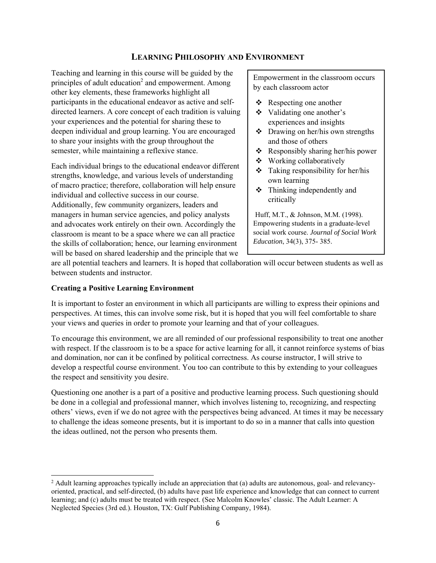# **LEARNING PHILOSOPHY AND ENVIRONMENT**

Teaching and learning in this course will be guided by the principles of adult education<sup>2</sup> and empowerment. Among other key elements, these frameworks highlight all participants in the educational endeavor as active and selfdirected learners. A core concept of each tradition is valuing your experiences and the potential for sharing these to deepen individual and group learning. You are encouraged to share your insights with the group throughout the semester, while maintaining a reflexive stance.

Each individual brings to the educational endeavor different strengths, knowledge, and various levels of understanding of macro practice; therefore, collaboration will help ensure individual and collective success in our course. Additionally, few community organizers, leaders and managers in human service agencies, and policy analysts and advocates work entirely on their own. Accordingly the classroom is meant to be a space where we can all practice the skills of collaboration; hence, our learning environment will be based on shared leadership and the principle that we

Empowerment in the classroom occurs by each classroom actor

- $\triangle$  Respecting one another
- Validating one another's experiences and insights
- $\triangleleft$  Drawing on her/his own strengths and those of others
- Responsibly sharing her/his power
- Working collaboratively
- $\div$  Taking responsibility for her/his own learning
- $\div$  Thinking independently and critically

Huff, M.T., & Johnson, M.M. (1998). Empowering students in a graduate-level social work course. *Journal of Social Work Education*, 34(3), 375- 385.

are all potential teachers and learners. It is hoped that collaboration will occur between students as well as between students and instructor.

#### **Creating a Positive Learning Environment**

It is important to foster an environment in which all participants are willing to express their opinions and perspectives. At times, this can involve some risk, but it is hoped that you will feel comfortable to share your views and queries in order to promote your learning and that of your colleagues.

To encourage this environment, we are all reminded of our professional responsibility to treat one another with respect. If the classroom is to be a space for active learning for all, it cannot reinforce systems of bias and domination, nor can it be confined by political correctness. As course instructor, I will strive to develop a respectful course environment. You too can contribute to this by extending to your colleagues the respect and sensitivity you desire.

Questioning one another is a part of a positive and productive learning process. Such questioning should be done in a collegial and professional manner, which involves listening to, recognizing, and respecting others' views, even if we do not agree with the perspectives being advanced. At times it may be necessary to challenge the ideas someone presents, but it is important to do so in a manner that calls into question the ideas outlined, not the person who presents them.

<sup>&</sup>lt;sup>2</sup> Adult learning approaches typically include an appreciation that (a) adults are autonomous, goal- and relevancyoriented, practical, and self-directed, (b) adults have past life experience and knowledge that can connect to current learning; and (c) adults must be treated with respect. (See Malcolm Knowles' classic. The Adult Learner: A Neglected Species (3rd ed.). Houston, TX: Gulf Publishing Company, 1984).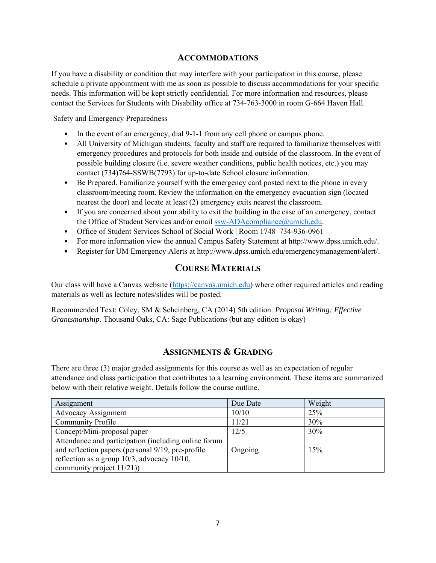# **ACCOMMODATIONS**

If you have a disability or condition that may interfere with your participation in this course, please schedule a private appointment with me as soon as possible to discuss accommodations for your specific needs. This information will be kept strictly confidential. For more information and resources, please contact the Services for Students with Disability office at 734-763-3000 in room G-664 Haven Hall.

Safety and Emergency Preparedness

- In the event of an emergency, dial 9-1-1 from any cell phone or campus phone.
- All University of Michigan students, faculty and staff are required to familiarize themselves with emergency procedures and protocols for both inside and outside of the classroom. In the event of possible building closure (i.e. severe weather conditions, public health notices, etc.) you may contact (734)764-SSWB(7793) for up-to-date School closure information.
- Be Prepared. Familiarize yourself with the emergency card posted next to the phone in every classroom/meeting room. Review the information on the emergency evacuation sign (located nearest the door) and locate at least (2) emergency exits nearest the classroom.
- If you are concerned about your ability to exit the building in the case of an emergency, contact the Office of Student Services and/or email ssw-ADAcompliance@umich.edu.
- Office of Student Services School of Social Work | Room 1748 734-936-0961
- For more information view the annual Campus Safety Statement at http://www.dpss.umich.edu/.
- Register for UM Emergency Alerts at http://www.dpss.umich.edu/emergencymanagement/alert/.

# **COURSE MATERIALS**

Our class will have a Canvas website (https://canvas.umich.edu) where other required articles and reading materials as well as lecture notes/slides will be posted.

Recommended Text: Coley, SM & Scheinberg, CA (2014) 5th edition. *Proposal Writing: Effective Grantsmanship*. Thousand Oaks, CA: Sage Publications (but any edition is okay)

# **ASSIGNMENTS & GRADING**

There are three (3) major graded assignments for this course as well as an expectation of regular attendance and class participation that contributes to a learning environment. These items are summarized below with their relative weight. Details follow the course outline.

| Assignment                                                                                                                                                                                 | Due Date | Weight |
|--------------------------------------------------------------------------------------------------------------------------------------------------------------------------------------------|----------|--------|
| Advocacy Assignment                                                                                                                                                                        | 10/10    | 25%    |
| Community Profile                                                                                                                                                                          | 11/21    | 30%    |
| Concept/Mini-proposal paper                                                                                                                                                                | 12/5     | 30%    |
| Attendance and participation (including online forum<br>and reflection papers (personal 9/19, pre-profile<br>reflection as a group $10/3$ , advocacy $10/10$ ,<br>community project 11/21) | Ongoing  | 15%    |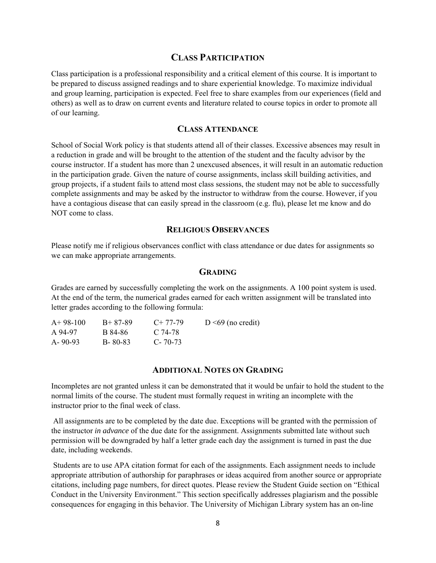#### **CLASS PARTICIPATION**

Class participation is a professional responsibility and a critical element of this course. It is important to be prepared to discuss assigned readings and to share experiential knowledge. To maximize individual and group learning, participation is expected. Feel free to share examples from our experiences (field and others) as well as to draw on current events and literature related to course topics in order to promote all of our learning.

#### **CLASS ATTENDANCE**

School of Social Work policy is that students attend all of their classes. Excessive absences may result in a reduction in grade and will be brought to the attention of the student and the faculty advisor by the course instructor. If a student has more than 2 unexcused absences, it will result in an automatic reduction in the participation grade. Given the nature of course assignments, inclass skill building activities, and group projects, if a student fails to attend most class sessions, the student may not be able to successfully complete assignments and may be asked by the instructor to withdraw from the course. However, if you have a contagious disease that can easily spread in the classroom (e.g. flu), please let me know and do NOT come to class.

#### **RELIGIOUS OBSERVANCES**

Please notify me if religious observances conflict with class attendance or due dates for assignments so we can make appropriate arrangements.

#### **GRADING**

Grades are earned by successfully completing the work on the assignments. A 100 point system is used. At the end of the term, the numerical grades earned for each written assignment will be translated into letter grades according to the following formula:

| $A+98-100$    | $B+87-89$     | $C+77-79$   | $D \leq 69$ (no credit) |
|---------------|---------------|-------------|-------------------------|
| A 94-97       | B 84-86       | C 74-78     |                         |
| $A - 90 - 93$ | $B - 80 - 83$ | $C - 70-73$ |                         |

#### **ADDITIONAL NOTES ON GRADING**

Incompletes are not granted unless it can be demonstrated that it would be unfair to hold the student to the normal limits of the course. The student must formally request in writing an incomplete with the instructor prior to the final week of class.

 All assignments are to be completed by the date due. Exceptions will be granted with the permission of the instructor *in advance* of the due date for the assignment. Assignments submitted late without such permission will be downgraded by half a letter grade each day the assignment is turned in past the due date, including weekends.

 Students are to use APA citation format for each of the assignments. Each assignment needs to include appropriate attribution of authorship for paraphrases or ideas acquired from another source or appropriate citations, including page numbers, for direct quotes. Please review the Student Guide section on "Ethical Conduct in the University Environment." This section specifically addresses plagiarism and the possible consequences for engaging in this behavior. The University of Michigan Library system has an on-line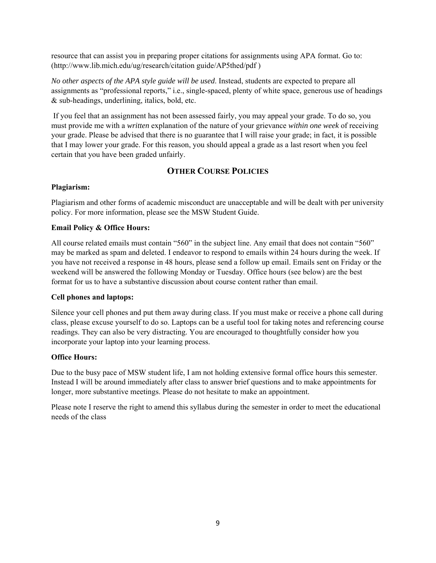resource that can assist you in preparing proper citations for assignments using APA format. Go to: (http://www.lib.mich.edu/ug/research/citation guide/AP5thed/pdf )

*No other aspects of the APA style guide will be used*. Instead, students are expected to prepare all assignments as "professional reports," i.e., single-spaced, plenty of white space, generous use of headings & sub-headings, underlining, italics, bold, etc.

 If you feel that an assignment has not been assessed fairly, you may appeal your grade. To do so, you must provide me with a *written* explanation of the nature of your grievance *within one week* of receiving your grade. Please be advised that there is no guarantee that I will raise your grade; in fact, it is possible that I may lower your grade. For this reason, you should appeal a grade as a last resort when you feel certain that you have been graded unfairly.

# **OTHER COURSE POLICIES**

#### **Plagiarism:**

Plagiarism and other forms of academic misconduct are unacceptable and will be dealt with per university policy. For more information, please see the MSW Student Guide.

#### **Email Policy & Office Hours:**

All course related emails must contain "560" in the subject line. Any email that does not contain "560" may be marked as spam and deleted. I endeavor to respond to emails within 24 hours during the week. If you have not received a response in 48 hours, please send a follow up email. Emails sent on Friday or the weekend will be answered the following Monday or Tuesday. Office hours (see below) are the best format for us to have a substantive discussion about course content rather than email.

#### **Cell phones and laptops:**

Silence your cell phones and put them away during class. If you must make or receive a phone call during class, please excuse yourself to do so. Laptops can be a useful tool for taking notes and referencing course readings. They can also be very distracting. You are encouraged to thoughtfully consider how you incorporate your laptop into your learning process.

#### **Office Hours:**

Due to the busy pace of MSW student life, I am not holding extensive formal office hours this semester. Instead I will be around immediately after class to answer brief questions and to make appointments for longer, more substantive meetings. Please do not hesitate to make an appointment.

Please note I reserve the right to amend this syllabus during the semester in order to meet the educational needs of the class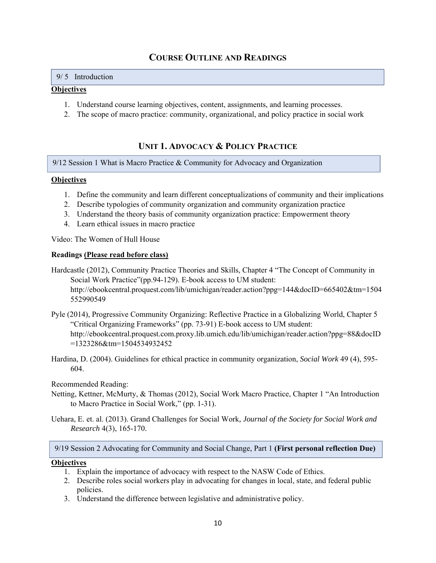# **COURSE OUTLINE AND READINGS**

#### 9/ 5 Introduction

#### **Objectives**

- 1. Understand course learning objectives, content, assignments, and learning processes.
- 2. The scope of macro practice: community, organizational, and policy practice in social work

# **UNIT 1. ADVOCACY & POLICY PRACTICE**

9/12 Session 1 What is Macro Practice & Community for Advocacy and Organization

#### **Objectives**

- 1. Define the community and learn different conceptualizations of community and their implications
- 2. Describe typologies of community organization and community organization practice
- 3. Understand the theory basis of community organization practice: Empowerment theory
- 4. Learn ethical issues in macro practice

Video: The Women of Hull House

#### **Readings (Please read before class)**

- Hardcastle (2012), Community Practice Theories and Skills, Chapter 4 "The Concept of Community in Social Work Practice"(pp.94-129). E-book access to UM student: http://ebookcentral.proquest.com/lib/umichigan/reader.action?ppg=144&docID=665402&tm=1504 552990549
- Pyle (2014), Progressive Community Organizing: Reflective Practice in a Globalizing World, Chapter 5 "Critical Organizing Frameworks" (pp. 73-91) E-book access to UM student: http://ebookcentral.proquest.com.proxy.lib.umich.edu/lib/umichigan/reader.action?ppg=88&docID =1323286&tm=1504534932452
- Hardina, D. (2004). Guidelines for ethical practice in community organization, *Social Work* 49 (4), 595- 604.

Recommended Reading:

- Netting, Kettner, McMurty, & Thomas (2012), Social Work Macro Practice, Chapter 1 "An Introduction to Macro Practice in Social Work," (pp. 1-31).
- Uehara, E. et. al. (2013). Grand Challenges for Social Work*, Journal of the Society for Social Work and Research* 4(3), 165-170.

9/19 Session 2 Advocating for Community and Social Change, Part 1 **(First personal reflection Due)** 

#### **Objectives**

- 1. Explain the importance of advocacy with respect to the NASW Code of Ethics.
- 2. Describe roles social workers play in advocating for changes in local, state, and federal public policies.
- 3. Understand the difference between legislative and administrative policy.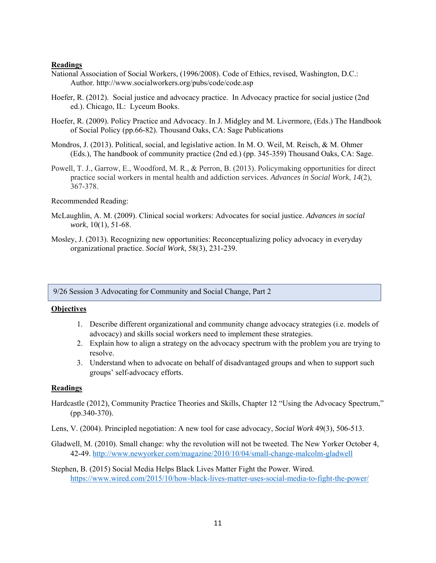#### **Readings**

- National Association of Social Workers, (1996/2008). Code of Ethics, revised, Washington, D.C.: Author. http://www.socialworkers.org/pubs/code/code.asp
- Hoefer, R. (2012). Social justice and advocacy practice. In Advocacy practice for social justice (2nd ed.). Chicago, IL: Lyceum Books.
- Hoefer, R. (2009). Policy Practice and Advocacy. In J. Midgley and M. Livermore, (Eds.) The Handbook of Social Policy (pp.66-82). Thousand Oaks, CA: Sage Publications
- Mondros, J. (2013). Political, social, and legislative action. In M. O. Weil, M. Reisch, & M. Ohmer (Eds.), The handbook of community practice (2nd ed.) (pp. 345-359) Thousand Oaks, CA: Sage.
- Powell, T. J., Garrow, E., Woodford, M. R., & Perron, B. (2013). Policymaking opportunities for direct practice social workers in mental health and addiction services. *Advances in Social Work*, *14*(2), 367-378.

#### Recommended Reading:

- McLaughlin, A. M. (2009). Clinical social workers: Advocates for social justice. *Advances in social work*, 10(1), 51-68.
- Mosley, J. (2013). Recognizing new opportunities: Reconceptualizing policy advocacy in everyday organizational practice. *Social Work*, 58(3), 231-239.

9/26 Session 3 Advocating for Community and Social Change, Part 2

## **Objectives**

- 1. Describe different organizational and community change advocacy strategies (i.e. models of advocacy) and skills social workers need to implement these strategies.
- 2. Explain how to align a strategy on the advocacy spectrum with the problem you are trying to resolve.
- 3. Understand when to advocate on behalf of disadvantaged groups and when to support such groups' self-advocacy efforts.

#### **Readings**

- Hardcastle (2012), Community Practice Theories and Skills, Chapter 12 "Using the Advocacy Spectrum," (pp.340-370).
- Lens, V. (2004). Principled negotiation: A new tool for case advocacy, *Social Work* 49(3), 506-513.
- Gladwell, M. (2010). Small change: why the revolution will not be tweeted. The New Yorker October 4, 42-49. http://www.newyorker.com/magazine/2010/10/04/small-change-malcolm-gladwell
- Stephen, B. (2015) Social Media Helps Black Lives Matter Fight the Power. Wired. https://www.wired.com/2015/10/how-black-lives-matter-uses-social-media-to-fight-the-power/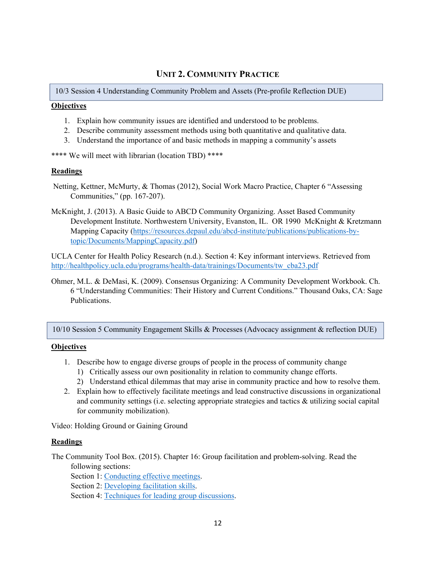# **UNIT 2. COMMUNITY PRACTICE**

10/3 Session 4 Understanding Community Problem and Assets (Pre-profile Reflection DUE)

#### **Objectives**

- 1. Explain how community issues are identified and understood to be problems.
- 2. Describe community assessment methods using both quantitative and qualitative data.
- 3. Understand the importance of and basic methods in mapping a community's assets

\*\*\*\* We will meet with librarian (location TBD) \*\*\*\*

#### **Readings**

- Netting, Kettner, McMurty, & Thomas (2012), Social Work Macro Practice, Chapter 6 "Assessing Communities," (pp. 167-207).
- McKnight, J. (2013). A Basic Guide to ABCD Community Organizing. Asset Based Community Development Institute. Northwestern University, Evanston, IL. OR 1990 McKnight & Kretzmann Mapping Capacity (https://resources.depaul.edu/abcd-institute/publications/publications-bytopic/Documents/MappingCapacity.pdf)

UCLA Center for Health Policy Research (n.d.). Section 4: Key informant interviews. Retrieved from http://healthpolicy.ucla.edu/programs/health-data/trainings/Documents/tw\_cba23.pdf

Ohmer, M.L. & DeMasi, K. (2009). Consensus Organizing: A Community Development Workbook. Ch. 6 "Understanding Communities: Their History and Current Conditions." Thousand Oaks, CA: Sage Publications.

10/10 Session 5 Community Engagement Skills & Processes (Advocacy assignment & reflection DUE)

#### **Objectives**

- 1. Describe how to engage diverse groups of people in the process of community change
	- 1) Critically assess our own positionality in relation to community change efforts.
	- 2) Understand ethical dilemmas that may arise in community practice and how to resolve them.
- 2. Explain how to effectively facilitate meetings and lead constructive discussions in organizational and community settings (i.e. selecting appropriate strategies and tactics & utilizing social capital for community mobilization).

Video: Holding Ground or Gaining Ground

#### **Readings**

The Community Tool Box. (2015). Chapter 16: Group facilitation and problem-solving. Read the following sections:

Section 1: Conducting effective meetings.

Section 2: Developing facilitation skills.

Section 4: Techniques for leading group discussions.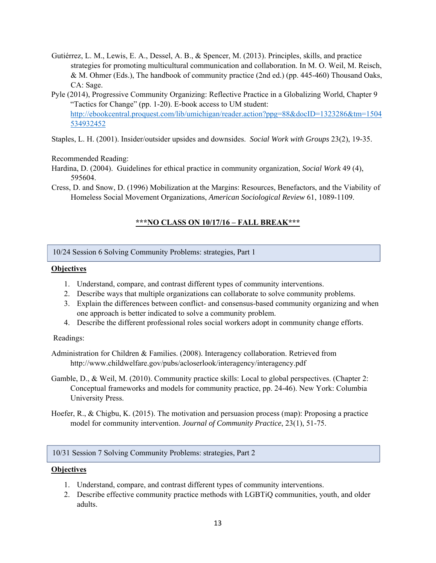- Gutiérrez, L. M., Lewis, E. A., Dessel, A. B., & Spencer, M. (2013). Principles, skills, and practice strategies for promoting multicultural communication and collaboration. In M. O. Weil, M. Reisch, & M. Ohmer (Eds.), The handbook of community practice (2nd ed.) (pp. 445-460) Thousand Oaks, CA: Sage.
- Pyle (2014), Progressive Community Organizing: Reflective Practice in a Globalizing World, Chapter 9 "Tactics for Change" (pp. 1-20). E-book access to UM student: http://ebookcentral.proquest.com/lib/umichigan/reader.action?ppg=88&docID=1323286&tm=1504 534932452

Staples, L. H. (2001). Insider/outsider upsides and downsides. *Social Work with Groups* 23(2), 19-35.

Recommended Reading:

- Hardina, D. (2004). Guidelines for ethical practice in community organization, *Social Work* 49 (4), 595604.
- Cress, D. and Snow, D. (1996) Mobilization at the Margins: Resources, Benefactors, and the Viability of Homeless Social Movement Organizations, *American Sociological Review* 61, 1089-1109.

# **\*\*\*NO CLASS ON 10/17/16 – FALL BREAK\*\*\***

10/24 Session 6 Solving Community Problems: strategies, Part 1

#### **Objectives**

- 1. Understand, compare, and contrast different types of community interventions.
- 2. Describe ways that multiple organizations can collaborate to solve community problems.
- 3. Explain the differences between conflict- and consensus-based community organizing and when one approach is better indicated to solve a community problem.
- 4. Describe the different professional roles social workers adopt in community change efforts.

#### Readings:

- Administration for Children & Families. (2008). Interagency collaboration. Retrieved from http://www.childwelfare.gov/pubs/acloserlook/interagency/interagency.pdf
- Gamble, D., & Weil, M. (2010). Community practice skills: Local to global perspectives. (Chapter 2: Conceptual frameworks and models for community practice, pp. 24-46). New York: Columbia University Press.
- Hoefer, R., & Chigbu, K. (2015). The motivation and persuasion process (map): Proposing a practice model for community intervention. *Journal of Community Practice*, 23(1), 51-75.

#### 10/31 Session 7 Solving Community Problems: strategies, Part 2

#### **Objectives**

- 1. Understand, compare, and contrast different types of community interventions.
- 2. Describe effective community practice methods with LGBTiQ communities, youth, and older adults.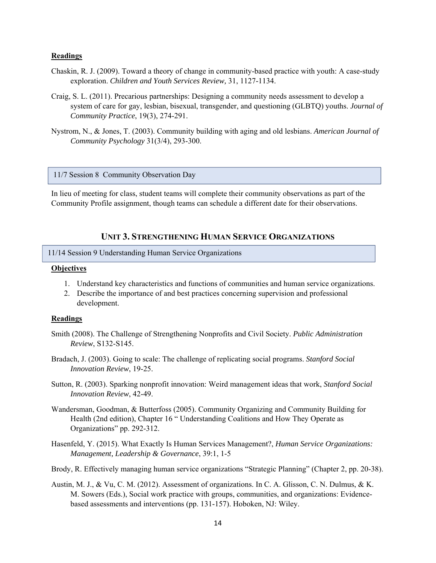#### **Readings**

- Chaskin, R. J. (2009). Toward a theory of change in community-based practice with youth: A case-study exploration. *Children and Youth Services Review,* 31, 1127-1134.
- Craig, S. L. (2011). Precarious partnerships: Designing a community needs assessment to develop a system of care for gay, lesbian, bisexual, transgender, and questioning (GLBTQ) youths. *Journal of Community Practice*, 19(3), 274-291.
- Nystrom, N., & Jones, T. (2003). Community building with aging and old lesbians. *American Journal of Community Psychology* 31(3/4), 293-300.

11/7 Session 8 Community Observation Day

In lieu of meeting for class, student teams will complete their community observations as part of the Community Profile assignment, though teams can schedule a different date for their observations.

#### **UNIT 3. STRENGTHENING HUMAN SERVICE ORGANIZATIONS**

#### 11/14 Session 9 Understanding Human Service Organizations

#### **Objectives**

- 1. Understand key characteristics and functions of communities and human service organizations.
- 2. Describe the importance of and best practices concerning supervision and professional development.

#### **Readings**

- Smith (2008). The Challenge of Strengthening Nonprofits and Civil Society. *Public Administration Review*, S132-S145.
- Bradach, J. (2003). Going to scale: The challenge of replicating social programs. *Stanford Social Innovation Review*, 19-25.
- Sutton, R. (2003). Sparking nonprofit innovation: Weird management ideas that work, *Stanford Social Innovation Review*, 42-49.
- Wandersman, Goodman, & Butterfoss (2005). Community Organizing and Community Building for Health (2nd edition), Chapter 16 " Understanding Coalitions and How They Operate as Organizations" pp. 292-312.
- Hasenfeld, Y. (2015). What Exactly Is Human Services Management?, *Human Service Organizations: Management, Leadership & Governance*, 39:1, 1-5
- Brody, R. Effectively managing human service organizations "Strategic Planning" (Chapter 2, pp. 20-38).
- Austin, M. J., & Vu, C. M. (2012). Assessment of organizations. In C. A. Glisson, C. N. Dulmus, & K. M. Sowers (Eds.), Social work practice with groups, communities, and organizations: Evidencebased assessments and interventions (pp. 131-157). Hoboken, NJ: Wiley.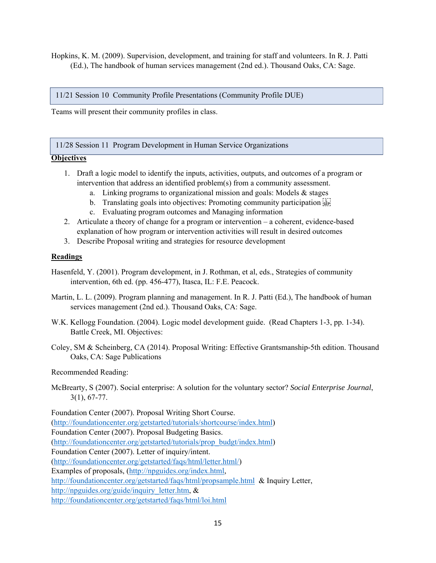Hopkins, K. M. (2009). Supervision, development, and training for staff and volunteers. In R. J. Patti (Ed.), The handbook of human services management (2nd ed.). Thousand Oaks, CA: Sage.

11/21 Session 10 Community Profile Presentations (Community Profile DUE)

Teams will present their community profiles in class.

11/28 Session 11 Program Development in Human Service Organizations

#### **Objectives**

- 1. Draft a logic model to identify the inputs, activities, outputs, and outcomes of a program or intervention that address an identified problem(s) from a community assessment.
	- a. Linking programs to organizational mission and goals: Models & stages
	- b. Translating goals into objectives: Promoting community participation see
	- c. Evaluating program outcomes and Managing information
- 2. Articulate a theory of change for a program or intervention a coherent, evidence-based explanation of how program or intervention activities will result in desired outcomes
- 3. Describe Proposal writing and strategies for resource development

#### **Readings**

- Hasenfeld, Y. (2001). Program development, in J. Rothman, et al, eds., Strategies of community intervention, 6th ed. (pp. 456-477), Itasca, IL: F.E. Peacock.
- Martin, L. L. (2009). Program planning and management. In R. J. Patti (Ed.), The handbook of human services management (2nd ed.). Thousand Oaks, CA: Sage.
- W.K. Kellogg Foundation. (2004). Logic model development guide. (Read Chapters 1-3, pp. 1-34). Battle Creek, MI. Objectives:
- Coley, SM & Scheinberg, CA (2014). Proposal Writing: Effective Grantsmanship-5th edition. Thousand Oaks, CA: Sage Publications

Recommended Reading:

McBrearty, S (2007). Social enterprise: A solution for the voluntary sector? *Social Enterprise Journal*, 3(1), 67-77.

Foundation Center (2007). Proposal Writing Short Course. (http://foundationcenter.org/getstarted/tutorials/shortcourse/index.html) Foundation Center (2007). Proposal Budgeting Basics. (http://foundationcenter.org/getstarted/tutorials/prop\_budgt/index.html) Foundation Center (2007). Letter of inquiry/intent. (http://foundationcenter.org/getstarted/faqs/html/letter.html/) Examples of proposals, (http://npguides.org/index.html, http://foundationcenter.org/getstarted/faqs/html/propsample.html & Inquiry Letter, http://npguides.org/guide/inquiry\_letter.htm, & http://foundationcenter.org/getstarted/faqs/html/loi.html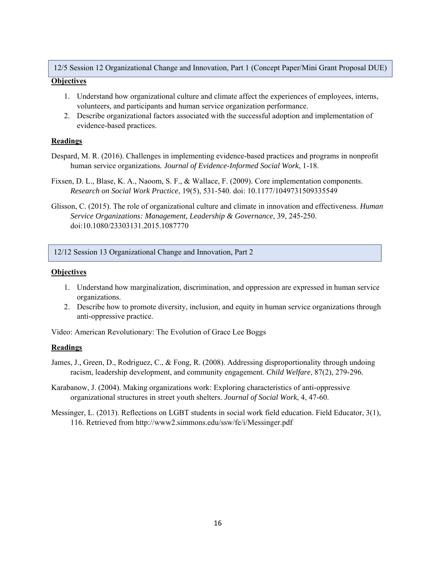12/5 Session 12 Organizational Change and Innovation, Part 1 (Concept Paper/Mini Grant Proposal DUE)

#### **Objectives**

- 1. Understand how organizational culture and climate affect the experiences of employees, interns, volunteers, and participants and human service organization performance.
- 2. Describe organizational factors associated with the successful adoption and implementation of evidence-based practices.

#### **Readings**

- Despard, M. R. (2016). Challenges in implementing evidence-based practices and programs in nonprofit human service organizations*. Journal of Evidence-Informed Social Work*, 1-18.
- Fixsen, D. L., Blase, K. A., Naoom, S. F., & Wallace, F. (2009). Core implementation components. *Research on Social Work Practice*, 19(5), 531-540. doi: 10.1177/1049731509335549
- Glisson, C. (2015). The role of organizational culture and climate in innovation and effectiveness. *Human Service Organizations: Management, Leadership & Governance*, 39, 245-250. doi:10.1080/23303131.2015.1087770

#### 12/12 Session 13 Organizational Change and Innovation, Part 2

#### **Objectives**

- 1. Understand how marginalization, discrimination, and oppression are expressed in human service organizations.
- 2. Describe how to promote diversity, inclusion, and equity in human service organizations through anti-oppressive practice.

Video: American Revolutionary: The Evolution of Grace Lee Boggs

#### **Readings**

- James, J., Green, D., Rodriguez, C., & Fong, R. (2008). Addressing disproportionality through undoing racism, leadership development, and community engagement. *Child Welfare*, 87(2), 279-296.
- Karabanow, J. (2004). Making organizations work: Exploring characteristics of anti-oppressive organizational structures in street youth shelters. *Journal of Social Work*, 4, 47-60.
- Messinger, L. (2013). Reflections on LGBT students in social work field education. Field Educator, 3(1), 116. Retrieved from http://www2.simmons.edu/ssw/fe/i/Messinger.pdf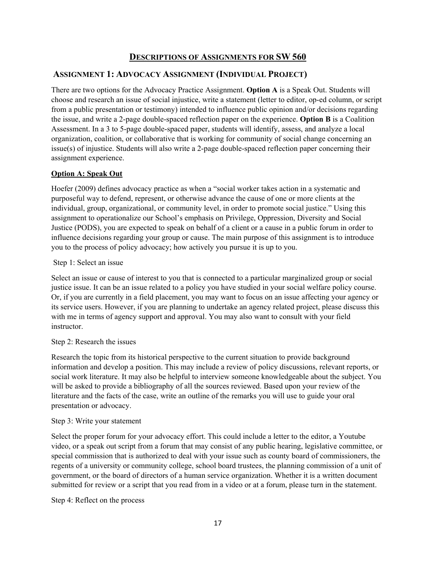# **DESCRIPTIONS OF ASSIGNMENTS FOR SW 560**

# **ASSIGNMENT 1: ADVOCACY ASSIGNMENT (INDIVIDUAL PROJECT)**

There are two options for the Advocacy Practice Assignment. **Option A** is a Speak Out. Students will choose and research an issue of social injustice, write a statement (letter to editor, op-ed column, or script from a public presentation or testimony) intended to influence public opinion and/or decisions regarding the issue, and write a 2-page double-spaced reflection paper on the experience. **Option B** is a Coalition Assessment. In a 3 to 5-page double-spaced paper, students will identify, assess, and analyze a local organization, coalition, or collaborative that is working for community of social change concerning an issue(s) of injustice. Students will also write a 2-page double-spaced reflection paper concerning their assignment experience.

# **Option A: Speak Out**

Hoefer (2009) defines advocacy practice as when a "social worker takes action in a systematic and purposeful way to defend, represent, or otherwise advance the cause of one or more clients at the individual, group, organizational, or community level, in order to promote social justice." Using this assignment to operationalize our School's emphasis on Privilege, Oppression, Diversity and Social Justice (PODS), you are expected to speak on behalf of a client or a cause in a public forum in order to influence decisions regarding your group or cause. The main purpose of this assignment is to introduce you to the process of policy advocacy; how actively you pursue it is up to you.

#### Step 1: Select an issue

Select an issue or cause of interest to you that is connected to a particular marginalized group or social justice issue. It can be an issue related to a policy you have studied in your social welfare policy course. Or, if you are currently in a field placement, you may want to focus on an issue affecting your agency or its service users. However, if you are planning to undertake an agency related project, please discuss this with me in terms of agency support and approval. You may also want to consult with your field instructor.

# Step 2: Research the issues

Research the topic from its historical perspective to the current situation to provide background information and develop a position. This may include a review of policy discussions, relevant reports, or social work literature. It may also be helpful to interview someone knowledgeable about the subject. You will be asked to provide a bibliography of all the sources reviewed. Based upon your review of the literature and the facts of the case, write an outline of the remarks you will use to guide your oral presentation or advocacy.

#### Step 3: Write your statement

Select the proper forum for your advocacy effort. This could include a letter to the editor, a Youtube video, or a speak out script from a forum that may consist of any public hearing, legislative committee, or special commission that is authorized to deal with your issue such as county board of commissioners, the regents of a university or community college, school board trustees, the planning commission of a unit of government, or the board of directors of a human service organization. Whether it is a written document submitted for review or a script that you read from in a video or at a forum, please turn in the statement.

Step 4: Reflect on the process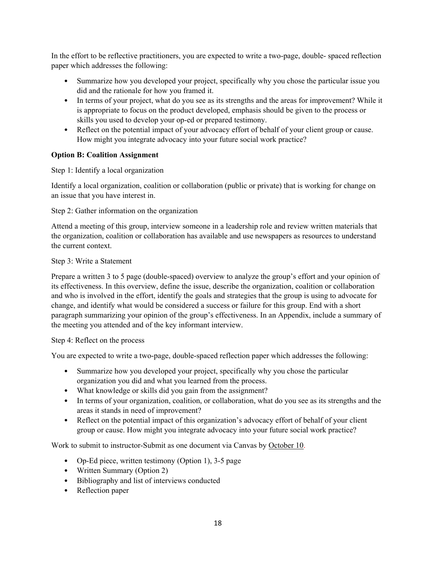In the effort to be reflective practitioners, you are expected to write a two-page, double- spaced reflection paper which addresses the following:

- Summarize how you developed your project, specifically why you chose the particular issue you did and the rationale for how you framed it.
- In terms of your project, what do you see as its strengths and the areas for improvement? While it is appropriate to focus on the product developed, emphasis should be given to the process or skills you used to develop your op-ed or prepared testimony.
- Reflect on the potential impact of your advocacy effort of behalf of your client group or cause. How might you integrate advocacy into your future social work practice?

# **Option B: Coalition Assignment**

Step 1: Identify a local organization

Identify a local organization, coalition or collaboration (public or private) that is working for change on an issue that you have interest in.

Step 2: Gather information on the organization

Attend a meeting of this group, interview someone in a leadership role and review written materials that the organization, coalition or collaboration has available and use newspapers as resources to understand the current context.

#### Step 3: Write a Statement

Prepare a written 3 to 5 page (double-spaced) overview to analyze the group's effort and your opinion of its effectiveness. In this overview, define the issue, describe the organization, coalition or collaboration and who is involved in the effort, identify the goals and strategies that the group is using to advocate for change, and identify what would be considered a success or failure for this group. End with a short paragraph summarizing your opinion of the group's effectiveness. In an Appendix, include a summary of the meeting you attended and of the key informant interview.

#### Step 4: Reflect on the process

You are expected to write a two-page, double-spaced reflection paper which addresses the following:

- Summarize how you developed your project, specifically why you chose the particular organization you did and what you learned from the process.
- What knowledge or skills did you gain from the assignment?
- In terms of your organization, coalition, or collaboration, what do you see as its strengths and the areas it stands in need of improvement?
- Reflect on the potential impact of this organization's advocacy effort of behalf of your client group or cause. How might you integrate advocacy into your future social work practice?

Work to submit to instructor-Submit as one document via Canvas by October 10.

- Op-Ed piece, written testimony (Option 1), 3-5 page
- Written Summary (Option 2)
- Bibliography and list of interviews conducted
- Reflection paper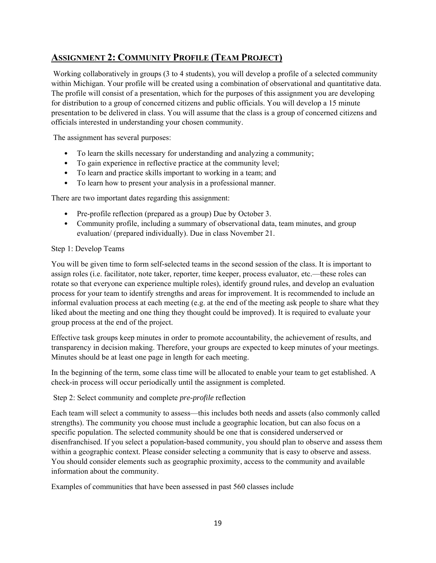# **ASSIGNMENT 2: COMMUNITY PROFILE (TEAM PROJECT)**

 Working collaboratively in groups (3 to 4 students), you will develop a profile of a selected community within Michigan. Your profile will be created using a combination of observational and quantitative data. The profile will consist of a presentation, which for the purposes of this assignment you are developing for distribution to a group of concerned citizens and public officials. You will develop a 15 minute presentation to be delivered in class. You will assume that the class is a group of concerned citizens and officials interested in understanding your chosen community.

The assignment has several purposes:

- To learn the skills necessary for understanding and analyzing a community;
- To gain experience in reflective practice at the community level;
- To learn and practice skills important to working in a team; and
- To learn how to present your analysis in a professional manner.

There are two important dates regarding this assignment:

- Pre-profile reflection (prepared as a group) Due by October 3.
- Community profile, including a summary of observational data, team minutes, and group evaluation/ (prepared individually). Due in class November 21.

#### Step 1: Develop Teams

You will be given time to form self-selected teams in the second session of the class. It is important to assign roles (i.e. facilitator, note taker, reporter, time keeper, process evaluator, etc.—these roles can rotate so that everyone can experience multiple roles), identify ground rules, and develop an evaluation process for your team to identify strengths and areas for improvement. It is recommended to include an informal evaluation process at each meeting (e.g. at the end of the meeting ask people to share what they liked about the meeting and one thing they thought could be improved). It is required to evaluate your group process at the end of the project.

Effective task groups keep minutes in order to promote accountability, the achievement of results, and transparency in decision making. Therefore, your groups are expected to keep minutes of your meetings. Minutes should be at least one page in length for each meeting.

In the beginning of the term, some class time will be allocated to enable your team to get established. A check-in process will occur periodically until the assignment is completed.

Step 2: Select community and complete *pre-profile* reflection

Each team will select a community to assess—this includes both needs and assets (also commonly called strengths). The community you choose must include a geographic location, but can also focus on a specific population. The selected community should be one that is considered underserved or disenfranchised. If you select a population-based community, you should plan to observe and assess them within a geographic context. Please consider selecting a community that is easy to observe and assess. You should consider elements such as geographic proximity, access to the community and available information about the community.

Examples of communities that have been assessed in past 560 classes include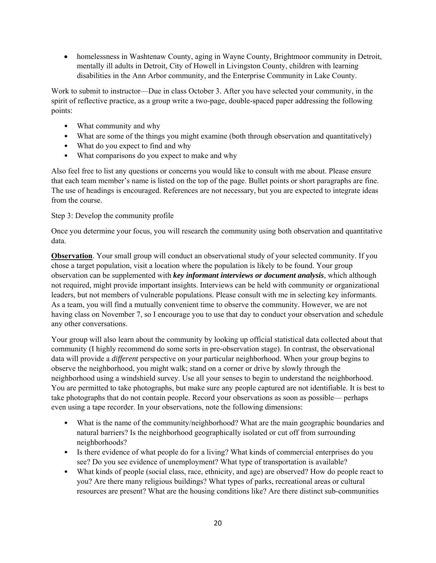• homelessness in Washtenaw County, aging in Wayne County, Brightmoor community in Detroit, mentally ill adults in Detroit, City of Howell in Livingston County, children with learning disabilities in the Ann Arbor community, and the Enterprise Community in Lake County.

Work to submit to instructor—Due in class October 3. After you have selected your community, in the spirit of reflective practice, as a group write a two-page, double-spaced paper addressing the following points:

- What community and why
- What are some of the things you might examine (both through observation and quantitatively)
- What do you expect to find and why
- What comparisons do you expect to make and why

Also feel free to list any questions or concerns you would like to consult with me about. Please ensure that each team member's name is listed on the top of the page. Bullet points or short paragraphs are fine. The use of headings is encouraged. References are not necessary, but you are expected to integrate ideas from the course.

# Step 3: Develop the community profile

Once you determine your focus, you will research the community using both observation and quantitative data.

**Observation**. Your small group will conduct an observational study of your selected community. If you chose a target population, visit a location where the population is likely to be found. Your group observation can be supplemented with *key informant interviews or document analysis*, which although not required, might provide important insights. Interviews can be held with community or organizational leaders, but not members of vulnerable populations. Please consult with me in selecting key informants. As a team, you will find a mutually convenient time to observe the community. However, we are not having class on November 7, so I encourage you to use that day to conduct your observation and schedule any other conversations.

Your group will also learn about the community by looking up official statistical data collected about that community (I highly recommend do some sorts in pre-observation stage). In contrast, the observational data will provide a *different* perspective on your particular neighborhood. When your group begins to observe the neighborhood, you might walk; stand on a corner or drive by slowly through the neighborhood using a windshield survey. Use all your senses to begin to understand the neighborhood. You are permitted to take photographs, but make sure any people captured are not identifiable. It is best to take photographs that do not contain people. Record your observations as soon as possible— perhaps even using a tape recorder. In your observations, note the following dimensions:

- What is the name of the community/neighborhood? What are the main geographic boundaries and natural barriers? Is the neighborhood geographically isolated or cut off from surrounding neighborhoods?
- Is there evidence of what people do for a living? What kinds of commercial enterprises do you see? Do you see evidence of unemployment? What type of transportation is available?
- What kinds of people (social class, race, ethnicity, and age) are observed? How do people react to you? Are there many religious buildings? What types of parks, recreational areas or cultural resources are present? What are the housing conditions like? Are there distinct sub-communities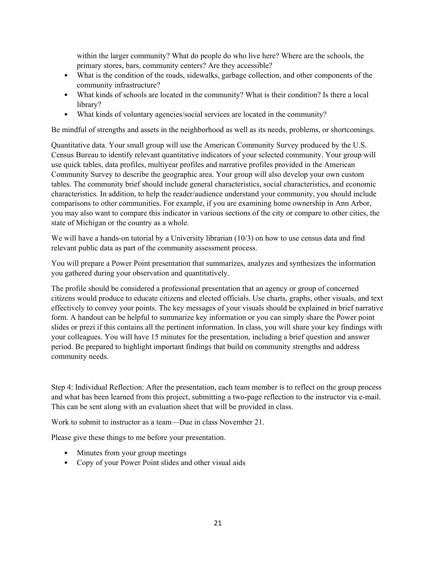within the larger community? What do people do who live here? Where are the schools, the primary stores, bars, community centers? Are they accessible?

- What is the condition of the roads, sidewalks, garbage collection, and other components of the community infrastructure?
- What kinds of schools are located in the community? What is their condition? Is there a local library?
- What kinds of voluntary agencies/social services are located in the community?

Be mindful of strengths and assets in the neighborhood as well as its needs, problems, or shortcomings.

Quantitative data. Your small group will use the American Community Survey produced by the U.S. Census Bureau to identify relevant quantitative indicators of your selected community. Your group will use quick tables, data profiles, multiyear profiles and narrative profiles provided in the American Community Survey to describe the geographic area. Your group will also develop your own custom tables. The community brief should include general characteristics, social characteristics, and economic characteristics. In addition, to help the reader/audience understand your community, you should include comparisons to other communities. For example, if you are examining home ownership in Ann Arbor, you may also want to compare this indicator in various sections of the city or compare to other cities, the state of Michigan or the country as a whole.

We will have a hands-on tutorial by a University librarian (10/3) on how to use census data and find relevant public data as part of the community assessment process.

You will prepare a Power Point presentation that summarizes, analyzes and synthesizes the information you gathered during your observation and quantitatively.

The profile should be considered a professional presentation that an agency or group of concerned citizens would produce to educate citizens and elected officials. Use charts, graphs, other visuals, and text effectively to convey your points. The key messages of your visuals should be explained in brief narrative form. A handout can be helpful to summarize key information or you can simply share the Power point slides or prezi if this contains all the pertinent information. In class, you will share your key findings with your colleagues. You will have 15 minutes for the presentation, including a brief question and answer period. Be prepared to highlight important findings that build on community strengths and address community needs.

Step 4: Individual Reflection: After the presentation, each team member is to reflect on the group process and what has been learned from this project, submitting a two-page reflection to the instructor via e-mail. This can be sent along with an evaluation sheet that will be provided in class.

Work to submit to instructor as a team—Due in class November 21.

Please give these things to me before your presentation.

- Minutes from your group meetings
- Copy of your Power Point slides and other visual aids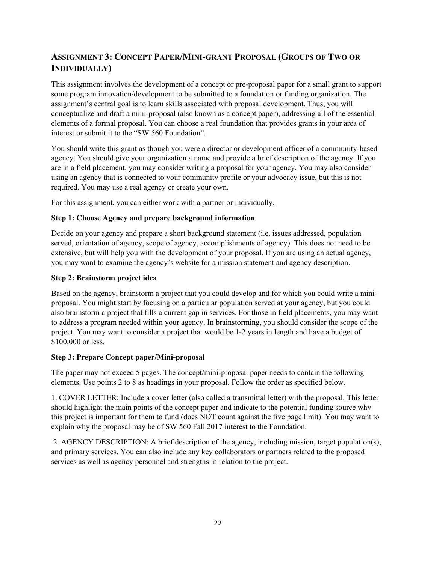# **ASSIGNMENT 3: CONCEPT PAPER/MINI-GRANT PROPOSAL (GROUPS OF TWO OR INDIVIDUALLY)**

This assignment involves the development of a concept or pre-proposal paper for a small grant to support some program innovation/development to be submitted to a foundation or funding organization. The assignment's central goal is to learn skills associated with proposal development. Thus, you will conceptualize and draft a mini-proposal (also known as a concept paper), addressing all of the essential elements of a formal proposal. You can choose a real foundation that provides grants in your area of interest or submit it to the "SW 560 Foundation".

You should write this grant as though you were a director or development officer of a community-based agency. You should give your organization a name and provide a brief description of the agency. If you are in a field placement, you may consider writing a proposal for your agency. You may also consider using an agency that is connected to your community profile or your advocacy issue, but this is not required. You may use a real agency or create your own.

For this assignment, you can either work with a partner or individually.

# **Step 1: Choose Agency and prepare background information**

Decide on your agency and prepare a short background statement (i.e. issues addressed, population served, orientation of agency, scope of agency, accomplishments of agency). This does not need to be extensive, but will help you with the development of your proposal. If you are using an actual agency, you may want to examine the agency's website for a mission statement and agency description.

#### **Step 2: Brainstorm project idea**

Based on the agency, brainstorm a project that you could develop and for which you could write a miniproposal. You might start by focusing on a particular population served at your agency, but you could also brainstorm a project that fills a current gap in services. For those in field placements, you may want to address a program needed within your agency. In brainstorming, you should consider the scope of the project. You may want to consider a project that would be 1-2 years in length and have a budget of \$100,000 or less.

#### **Step 3: Prepare Concept paper/Mini-proposal**

The paper may not exceed 5 pages. The concept/mini-proposal paper needs to contain the following elements. Use points 2 to 8 as headings in your proposal. Follow the order as specified below.

1. COVER LETTER: Include a cover letter (also called a transmittal letter) with the proposal. This letter should highlight the main points of the concept paper and indicate to the potential funding source why this project is important for them to fund (does NOT count against the five page limit). You may want to explain why the proposal may be of SW 560 Fall 2017 interest to the Foundation.

 2. AGENCY DESCRIPTION: A brief description of the agency, including mission, target population(s), and primary services. You can also include any key collaborators or partners related to the proposed services as well as agency personnel and strengths in relation to the project.